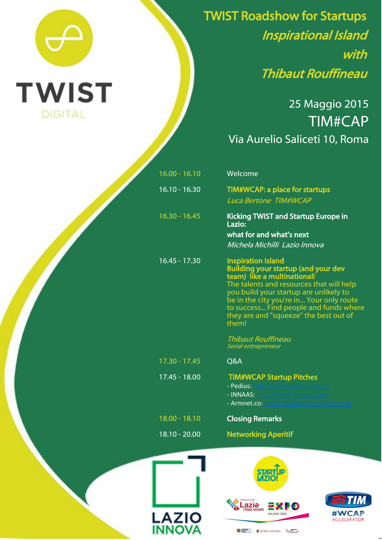

TWIST Roadshow for Startups Inspirational Island with Thibaut Rouffineau

.

## 25 Maggio 2015 TIM#CAP Via Aurelio Saliceti 10, Roma

| $16.00 - 16.10$ | Welcome                                                                                                                                                                                                                                                                                                                               |
|-----------------|---------------------------------------------------------------------------------------------------------------------------------------------------------------------------------------------------------------------------------------------------------------------------------------------------------------------------------------|
| $16.10 - 16.30$ | <b>TIM#WCAP: a place for startups</b><br><b>Luca Bertone TIM#WCAP</b>                                                                                                                                                                                                                                                                 |
| $16.30 - 16.45$ | <b>Kicking TWIST and Startup Europe in</b><br>Lazio:<br>what for and what's next<br>Michela Michilli Lazio Innova                                                                                                                                                                                                                     |
| 16.45 - 17.30   | <b>Inspiration Island</b><br><b>Building your startup (and your dev</b><br>team) like a multinational!<br>The talents and resources that will help<br>you build your startup are unlikely to<br>be in the city you're in Your only route<br>to success Find people and funds where<br>they are and "squeeze" the best out of<br>them! |
|                 | <b>Thibaut Rouffineau</b><br>Serial entrepreneur                                                                                                                                                                                                                                                                                      |
| $17.30 - 17.45$ | Q&A                                                                                                                                                                                                                                                                                                                                   |
| 17.45 - 18.00   | <b>TIM#WCAP Startup Pitches</b><br>- Pedius: http://www.pedius.org/it/<br>- INNAAS: http://www.innaas.com/<br>- Armnet.co: https://twitter.com/armnetco                                                                                                                                                                               |
| 18.00 - 18.10   | <b>Closing Remarks</b>                                                                                                                                                                                                                                                                                                                |
| 18.10 - 20.00   | <b>Networking Aperitif</b>                                                                                                                                                                                                                                                                                                            |
|                 |                                                                                                                                                                                                                                                                                                                                       |







**DESILE CHARACTERIE ECONOMICATIONS ECONOMIC**